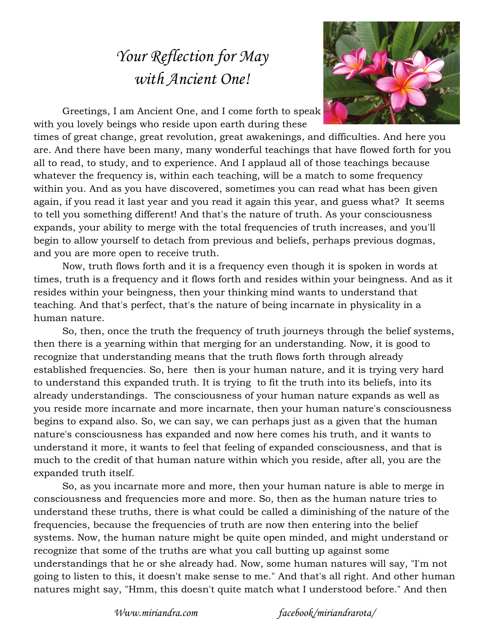## *Your Reflection for May with Ancient One!*



Greetings, I am Ancient One, and I come forth to speak with you lovely beings who reside upon earth during these

times of great change, great revolution, great awakenings, and difficulties. And here you are. And there have been many, many wonderful teachings that have flowed forth for you all to read, to study, and to experience. And I applaud all of those teachings because whatever the frequency is, within each teaching, will be a match to some frequency within you. And as you have discovered, sometimes you can read what has been given again, if you read it last year and you read it again this year, and guess what? It seems to tell you something different! And that's the nature of truth. As your consciousness expands, your ability to merge with the total frequencies of truth increases, and you'll begin to allow yourself to detach from previous and beliefs, perhaps previous dogmas, and you are more open to receive truth.

Now, truth flows forth and it is a frequency even though it is spoken in words at times, truth is a frequency and it flows forth and resides within your beingness. And as it resides within your beingness, then your thinking mind wants to understand that teaching. And that's perfect, that's the nature of being incarnate in physicality in a human nature.

So, then, once the truth the frequency of truth journeys through the belief systems, then there is a yearning within that merging for an understanding. Now, it is good to recognize that understanding means that the truth flows forth through already established frequencies. So, here then is your human nature, and it is trying very hard to understand this expanded truth. It is trying to fit the truth into its beliefs, into its already understandings. The consciousness of your human nature expands as well as you reside more incarnate and more incarnate, then your human nature's consciousness begins to expand also. So, we can say, we can perhaps just as a given that the human nature's consciousness has expanded and now here comes his truth, and it wants to understand it more, it wants to feel that feeling of expanded consciousness, and that is much to the credit of that human nature within which you reside, after all, you are the expanded truth itself.

So, as you incarnate more and more, then your human nature is able to merge in consciousness and frequencies more and more. So, then as the human nature tries to understand these truths, there is what could be called a diminishing of the nature of the frequencies, because the frequencies of truth are now then entering into the belief systems. Now, the human nature might be quite open minded, and might understand or recognize that some of the truths are what you call butting up against some understandings that he or she already had. Now, some human natures will say, "I'm not going to listen to this, it doesn't make sense to me." And that's all right. And other human natures might say, "Hmm, this doesn't quite match what I understood before." And then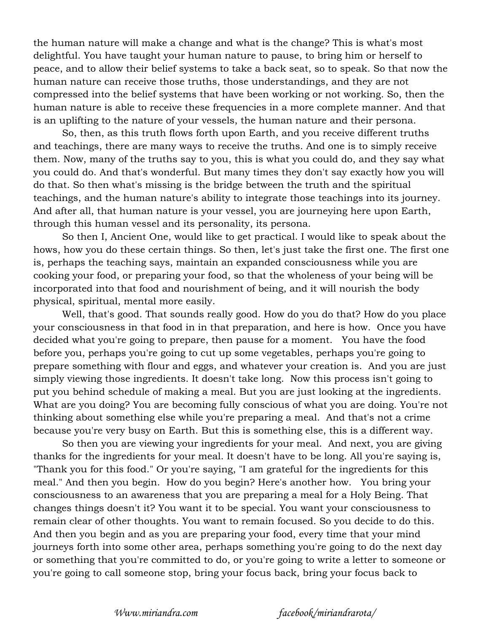the human nature will make a change and what is the change? This is what's most delightful. You have taught your human nature to pause, to bring him or herself to peace, and to allow their belief systems to take a back seat, so to speak. So that now the human nature can receive those truths, those understandings, and they are not compressed into the belief systems that have been working or not working. So, then the human nature is able to receive these frequencies in a more complete manner. And that is an uplifting to the nature of your vessels, the human nature and their persona.

So, then, as this truth flows forth upon Earth, and you receive different truths and teachings, there are many ways to receive the truths. And one is to simply receive them. Now, many of the truths say to you, this is what you could do, and they say what you could do. And that's wonderful. But many times they don't say exactly how you will do that. So then what's missing is the bridge between the truth and the spiritual teachings, and the human nature's ability to integrate those teachings into its journey. And after all, that human nature is your vessel, you are journeying here upon Earth, through this human vessel and its personality, its persona.

So then I, Ancient One, would like to get practical. I would like to speak about the hows, how you do these certain things. So then, let's just take the first one. The first one is, perhaps the teaching says, maintain an expanded consciousness while you are cooking your food, or preparing your food, so that the wholeness of your being will be incorporated into that food and nourishment of being, and it will nourish the body physical, spiritual, mental more easily.

Well, that's good. That sounds really good. How do you do that? How do you place your consciousness in that food in in that preparation, and here is how. Once you have decided what you're going to prepare, then pause for a moment. You have the food before you, perhaps you're going to cut up some vegetables, perhaps you're going to prepare something with flour and eggs, and whatever your creation is. And you are just simply viewing those ingredients. It doesn't take long. Now this process isn't going to put you behind schedule of making a meal. But you are just looking at the ingredients. What are you doing? You are becoming fully conscious of what you are doing. You're not thinking about something else while you're preparing a meal. And that's not a crime because you're very busy on Earth. But this is something else, this is a different way.

So then you are viewing your ingredients for your meal. And next, you are giving thanks for the ingredients for your meal. It doesn't have to be long. All you're saying is, "Thank you for this food." Or you're saying, "I am grateful for the ingredients for this meal." And then you begin. How do you begin? Here's another how. You bring your consciousness to an awareness that you are preparing a meal for a Holy Being. That changes things doesn't it? You want it to be special. You want your consciousness to remain clear of other thoughts. You want to remain focused. So you decide to do this. And then you begin and as you are preparing your food, every time that your mind journeys forth into some other area, perhaps something you're going to do the next day or something that you're committed to do, or you're going to write a letter to someone or you're going to call someone stop, bring your focus back, bring your focus back to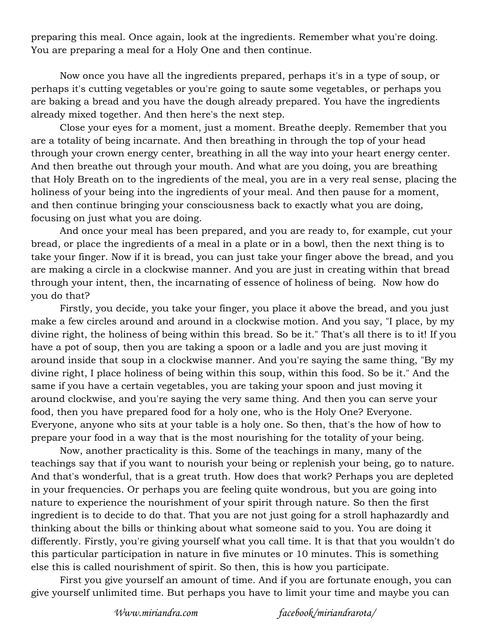preparing this meal. Once again, look at the ingredients. Remember what you're doing. You are preparing a meal for a Holy One and then continue.

Now once you have all the ingredients prepared, perhaps it's in a type of soup, or perhaps it's cutting vegetables or you're going to saute some vegetables, or perhaps you are baking a bread and you have the dough already prepared. You have the ingredients already mixed together. And then here's the next step.

Close your eyes for a moment, just a moment. Breathe deeply. Remember that you are a totality of being incarnate. And then breathing in through the top of your head through your crown energy center, breathing in all the way into your heart energy center. And then breathe out through your mouth. And what are you doing, you are breathing that Holy Breath on to the ingredients of the meal, you are in a very real sense, placing the holiness of your being into the ingredients of your meal. And then pause for a moment, and then continue bringing your consciousness back to exactly what you are doing, focusing on just what you are doing.

And once your meal has been prepared, and you are ready to, for example, cut your bread, or place the ingredients of a meal in a plate or in a bowl, then the next thing is to take your finger. Now if it is bread, you can just take your finger above the bread, and you are making a circle in a clockwise manner. And you are just in creating within that bread through your intent, then, the incarnating of essence of holiness of being. Now how do you do that?

Firstly, you decide, you take your finger, you place it above the bread, and you just make a few circles around and around in a clockwise motion. And you say, "I place, by my divine right, the holiness of being within this bread. So be it." That's all there is to it! If you have a pot of soup, then you are taking a spoon or a ladle and you are just moving it around inside that soup in a clockwise manner. And you're saying the same thing, "By my divine right, I place holiness of being within this soup, within this food. So be it." And the same if you have a certain vegetables, you are taking your spoon and just moving it around clockwise, and you're saying the very same thing. And then you can serve your food, then you have prepared food for a holy one, who is the Holy One? Everyone. Everyone, anyone who sits at your table is a holy one. So then, that's the how of how to prepare your food in a way that is the most nourishing for the totality of your being.

Now, another practicality is this. Some of the teachings in many, many of the teachings say that if you want to nourish your being or replenish your being, go to nature. And that's wonderful, that is a great truth. How does that work? Perhaps you are depleted in your frequencies. Or perhaps you are feeling quite wondrous, but you are going into nature to experience the nourishment of your spirit through nature. So then the first ingredient is to decide to do that. That you are not just going for a stroll haphazardly and thinking about the bills or thinking about what someone said to you. You are doing it differently. Firstly, you're giving yourself what you call time. It is that that you wouldn't do this particular participation in nature in five minutes or 10 minutes. This is something else this is called nourishment of spirit. So then, this is how you participate.

First you give yourself an amount of time. And if you are fortunate enough, you can give yourself unlimited time. But perhaps you have to limit your time and maybe you can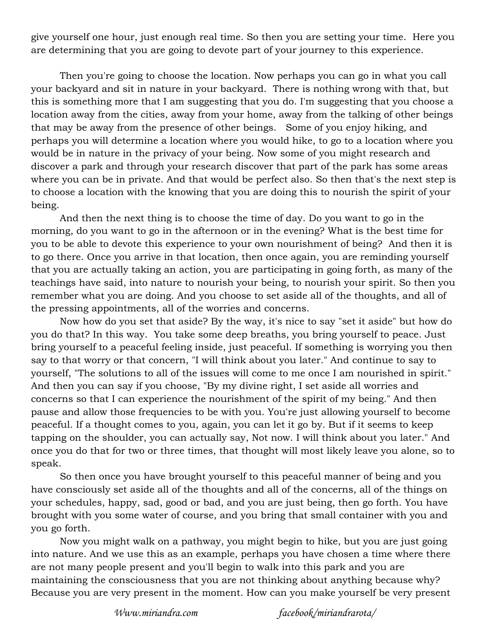give yourself one hour, just enough real time. So then you are setting your time. Here you are determining that you are going to devote part of your journey to this experience.

Then you're going to choose the location. Now perhaps you can go in what you call your backyard and sit in nature in your backyard. There is nothing wrong with that, but this is something more that I am suggesting that you do. I'm suggesting that you choose a location away from the cities, away from your home, away from the talking of other beings that may be away from the presence of other beings. Some of you enjoy hiking, and perhaps you will determine a location where you would hike, to go to a location where you would be in nature in the privacy of your being. Now some of you might research and discover a park and through your research discover that part of the park has some areas where you can be in private. And that would be perfect also. So then that's the next step is to choose a location with the knowing that you are doing this to nourish the spirit of your being.

And then the next thing is to choose the time of day. Do you want to go in the morning, do you want to go in the afternoon or in the evening? What is the best time for you to be able to devote this experience to your own nourishment of being? And then it is to go there. Once you arrive in that location, then once again, you are reminding yourself that you are actually taking an action, you are participating in going forth, as many of the teachings have said, into nature to nourish your being, to nourish your spirit. So then you remember what you are doing. And you choose to set aside all of the thoughts, and all of the pressing appointments, all of the worries and concerns.

Now how do you set that aside? By the way, it's nice to say "set it aside" but how do you do that? In this way. You take some deep breaths, you bring yourself to peace. Just bring yourself to a peaceful feeling inside, just peaceful. If something is worrying you then say to that worry or that concern, "I will think about you later." And continue to say to yourself, "The solutions to all of the issues will come to me once I am nourished in spirit." And then you can say if you choose, "By my divine right, I set aside all worries and concerns so that I can experience the nourishment of the spirit of my being." And then pause and allow those frequencies to be with you. You're just allowing yourself to become peaceful. If a thought comes to you, again, you can let it go by. But if it seems to keep tapping on the shoulder, you can actually say, Not now. I will think about you later." And once you do that for two or three times, that thought will most likely leave you alone, so to speak.

So then once you have brought yourself to this peaceful manner of being and you have consciously set aside all of the thoughts and all of the concerns, all of the things on your schedules, happy, sad, good or bad, and you are just being, then go forth. You have brought with you some water of course, and you bring that small container with you and you go forth.

Now you might walk on a pathway, you might begin to hike, but you are just going into nature. And we use this as an example, perhaps you have chosen a time where there are not many people present and you'll begin to walk into this park and you are maintaining the consciousness that you are not thinking about anything because why? Because you are very present in the moment. How can you make yourself be very present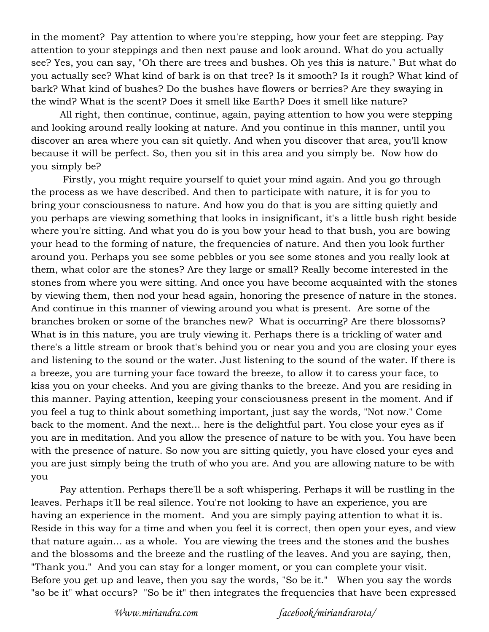in the moment? Pay attention to where you're stepping, how your feet are stepping. Pay attention to your steppings and then next pause and look around. What do you actually see? Yes, you can say, "Oh there are trees and bushes. Oh yes this is nature." But what do you actually see? What kind of bark is on that tree? Is it smooth? Is it rough? What kind of bark? What kind of bushes? Do the bushes have flowers or berries? Are they swaying in the wind? What is the scent? Does it smell like Earth? Does it smell like nature?

All right, then continue, continue, again, paying attention to how you were stepping and looking around really looking at nature. And you continue in this manner, until you discover an area where you can sit quietly. And when you discover that area, you'll know because it will be perfect. So, then you sit in this area and you simply be. Now how do you simply be?

 Firstly, you might require yourself to quiet your mind again. And you go through the process as we have described. And then to participate with nature, it is for you to bring your consciousness to nature. And how you do that is you are sitting quietly and you perhaps are viewing something that looks in insignificant, it's a little bush right beside where you're sitting. And what you do is you bow your head to that bush, you are bowing your head to the forming of nature, the frequencies of nature. And then you look further around you. Perhaps you see some pebbles or you see some stones and you really look at them, what color are the stones? Are they large or small? Really become interested in the stones from where you were sitting. And once you have become acquainted with the stones by viewing them, then nod your head again, honoring the presence of nature in the stones. And continue in this manner of viewing around you what is present. Are some of the branches broken or some of the branches new? What is occurring? Are there blossoms? What is in this nature, you are truly viewing it. Perhaps there is a trickling of water and there's a little stream or brook that's behind you or near you and you are closing your eyes and listening to the sound or the water. Just listening to the sound of the water. If there is a breeze, you are turning your face toward the breeze, to allow it to caress your face, to kiss you on your cheeks. And you are giving thanks to the breeze. And you are residing in this manner. Paying attention, keeping your consciousness present in the moment. And if you feel a tug to think about something important, just say the words, "Not now." Come back to the moment. And the next... here is the delightful part. You close your eyes as if you are in meditation. And you allow the presence of nature to be with you. You have been with the presence of nature. So now you are sitting quietly, you have closed your eyes and you are just simply being the truth of who you are. And you are allowing nature to be with you

Pay attention. Perhaps there'll be a soft whispering. Perhaps it will be rustling in the leaves. Perhaps it'll be real silence. You're not looking to have an experience, you are having an experience in the moment. And you are simply paying attention to what it is. Reside in this way for a time and when you feel it is correct, then open your eyes, and view that nature again... as a whole. You are viewing the trees and the stones and the bushes and the blossoms and the breeze and the rustling of the leaves. And you are saying, then, "Thank you." And you can stay for a longer moment, or you can complete your visit. Before you get up and leave, then you say the words, "So be it." When you say the words "so be it" what occurs? "So be it" then integrates the frequencies that have been expressed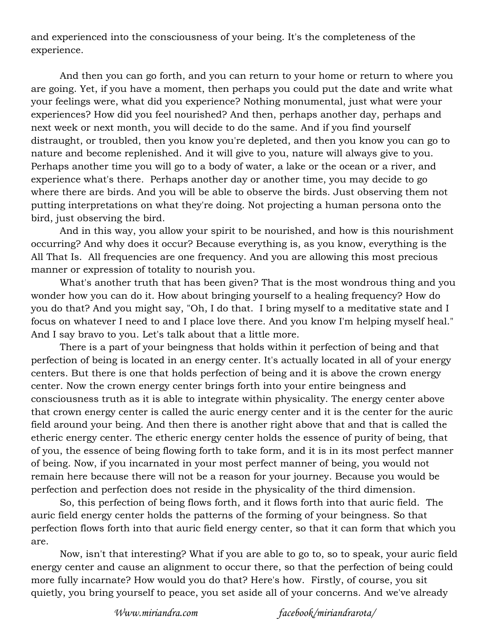and experienced into the consciousness of your being. It's the completeness of the experience.

And then you can go forth, and you can return to your home or return to where you are going. Yet, if you have a moment, then perhaps you could put the date and write what your feelings were, what did you experience? Nothing monumental, just what were your experiences? How did you feel nourished? And then, perhaps another day, perhaps and next week or next month, you will decide to do the same. And if you find yourself distraught, or troubled, then you know you're depleted, and then you know you can go to nature and become replenished. And it will give to you, nature will always give to you. Perhaps another time you will go to a body of water, a lake or the ocean or a river, and experience what's there. Perhaps another day or another time, you may decide to go where there are birds. And you will be able to observe the birds. Just observing them not putting interpretations on what they're doing. Not projecting a human persona onto the bird, just observing the bird.

And in this way, you allow your spirit to be nourished, and how is this nourishment occurring? And why does it occur? Because everything is, as you know, everything is the All That Is. All frequencies are one frequency. And you are allowing this most precious manner or expression of totality to nourish you.

What's another truth that has been given? That is the most wondrous thing and you wonder how you can do it. How about bringing yourself to a healing frequency? How do you do that? And you might say, "Oh, I do that. I bring myself to a meditative state and I focus on whatever I need to and I place love there. And you know I'm helping myself heal." And I say bravo to you. Let's talk about that a little more.

There is a part of your beingness that holds within it perfection of being and that perfection of being is located in an energy center. It's actually located in all of your energy centers. But there is one that holds perfection of being and it is above the crown energy center. Now the crown energy center brings forth into your entire beingness and consciousness truth as it is able to integrate within physicality. The energy center above that crown energy center is called the auric energy center and it is the center for the auric field around your being. And then there is another right above that and that is called the etheric energy center. The etheric energy center holds the essence of purity of being, that of you, the essence of being flowing forth to take form, and it is in its most perfect manner of being. Now, if you incarnated in your most perfect manner of being, you would not remain here because there will not be a reason for your journey. Because you would be perfection and perfection does not reside in the physicality of the third dimension.

So, this perfection of being flows forth, and it flows forth into that auric field. The auric field energy center holds the patterns of the forming of your beingness. So that perfection flows forth into that auric field energy center, so that it can form that which you are.

Now, isn't that interesting? What if you are able to go to, so to speak, your auric field energy center and cause an alignment to occur there, so that the perfection of being could more fully incarnate? How would you do that? Here's how. Firstly, of course, you sit quietly, you bring yourself to peace, you set aside all of your concerns. And we've already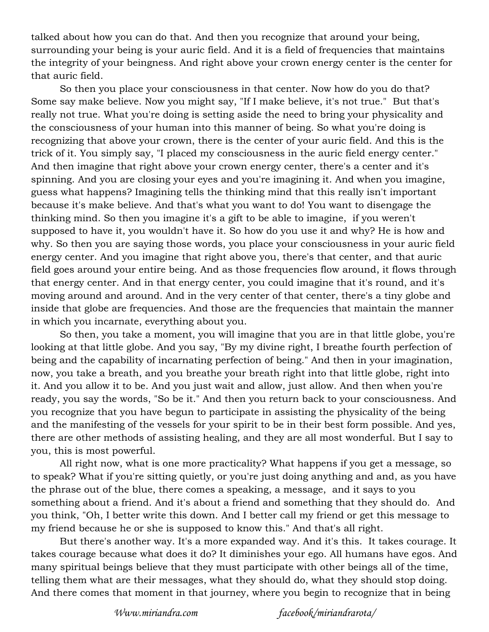talked about how you can do that. And then you recognize that around your being, surrounding your being is your auric field. And it is a field of frequencies that maintains the integrity of your beingness. And right above your crown energy center is the center for that auric field.

So then you place your consciousness in that center. Now how do you do that? Some say make believe. Now you might say, "If I make believe, it's not true." But that's really not true. What you're doing is setting aside the need to bring your physicality and the consciousness of your human into this manner of being. So what you're doing is recognizing that above your crown, there is the center of your auric field. And this is the trick of it. You simply say, "I placed my consciousness in the auric field energy center." And then imagine that right above your crown energy center, there's a center and it's spinning. And you are closing your eyes and you're imagining it. And when you imagine, guess what happens? Imagining tells the thinking mind that this really isn't important because it's make believe. And that's what you want to do! You want to disengage the thinking mind. So then you imagine it's a gift to be able to imagine, if you weren't supposed to have it, you wouldn't have it. So how do you use it and why? He is how and why. So then you are saying those words, you place your consciousness in your auric field energy center. And you imagine that right above you, there's that center, and that auric field goes around your entire being. And as those frequencies flow around, it flows through that energy center. And in that energy center, you could imagine that it's round, and it's moving around and around. And in the very center of that center, there's a tiny globe and inside that globe are frequencies. And those are the frequencies that maintain the manner in which you incarnate, everything about you.

So then, you take a moment, you will imagine that you are in that little globe, you're looking at that little globe. And you say, "By my divine right, I breathe fourth perfection of being and the capability of incarnating perfection of being." And then in your imagination, now, you take a breath, and you breathe your breath right into that little globe, right into it. And you allow it to be. And you just wait and allow, just allow. And then when you're ready, you say the words, "So be it." And then you return back to your consciousness. And you recognize that you have begun to participate in assisting the physicality of the being and the manifesting of the vessels for your spirit to be in their best form possible. And yes, there are other methods of assisting healing, and they are all most wonderful. But I say to you, this is most powerful.

All right now, what is one more practicality? What happens if you get a message, so to speak? What if you're sitting quietly, or you're just doing anything and and, as you have the phrase out of the blue, there comes a speaking, a message, and it says to you something about a friend. And it's about a friend and something that they should do. And you think, "Oh, I better write this down. And I better call my friend or get this message to my friend because he or she is supposed to know this." And that's all right.

But there's another way. It's a more expanded way. And it's this. It takes courage. It takes courage because what does it do? It diminishes your ego. All humans have egos. And many spiritual beings believe that they must participate with other beings all of the time, telling them what are their messages, what they should do, what they should stop doing. And there comes that moment in that journey, where you begin to recognize that in being